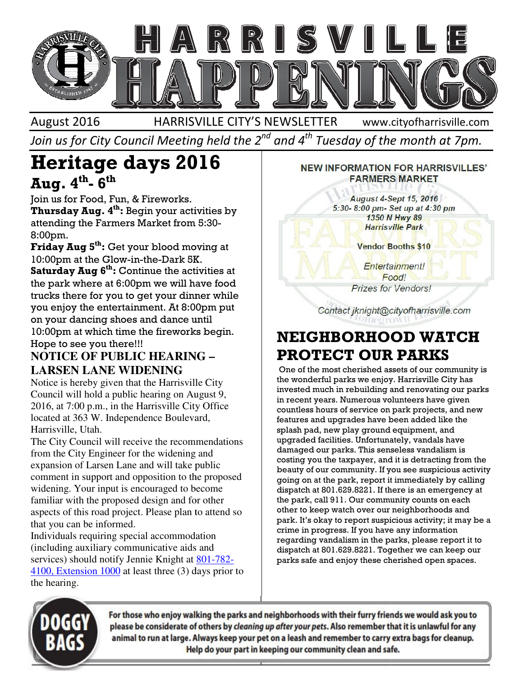

August 2016 HARRISVILLE CITY'S NEWSLETTER

www.cityofharrisville.com

Join us for City Council Meeting held the 2 $^{\mathit{nd}}$  and 4 $^{\mathit{th}}$  Tuesday of the month at 7pm.

# Heritage days 2016 Aug. 4 $^{\rm th}$ - 6 $^{\rm th}$

Join us for Food, Fun, & Fireworks. **Thursday Aug.**  $4^{th}$ : Begin your activities by **Thursday Aug. 4<sup>th</sup>:** Begin your activities<br>attending the Farmers Market from 5:30-8:00pm.

Friday Aug 5<sup>th</sup>: Get your blood moving at 10:00pm at the Glow-in-the-Dark 5K. Saturday Aug  $6<sup>th</sup>$ : Continue the activities at the park where at 6:00pm we will have food trucks there for you to get your dinner while you enjoy the entertainment. At 8:00pm put on your dancing shoes and dance until on your dancing shoes and dance until<br>10:00pm at which time the fireworks begin. Hope to see you there!!! **g 5<sup>th</sup>:** Get your blood moving at<br>t the Glow-in-the-Dark 5K.<br>**Aug 6<sup>th</sup>:** Continue the activities at<br>here at 6:00pm we will have food<br>re for you to get your dinner while<br>the entertainment. At 8:00pm put

## **NOTICE OF PUBLIC HEARING – LARSEN LANE WIDENING**

Notice is hereby given that the Harrisville City Council will hold a public hearing on August 9, 2016, at 7:00 p.m., in the Harrisville City Office located at 363 W. Independence Boulevard, Harrisville, Utah. a public hearing on August<br>, in the Harrisville City Off<br>Independence Boulevard,<br>will receive the recommence

The City Council will receive the recommendations from the City Engineer for the widening and expansion of Larsen Lane and will take public comment in support and opposition to the proposed widening. Your input is encouraged to become familiar with the proposed design and for other aspects of this road project. Please plan to attend so that you can be informed. and will take public<br>pposition to the propo<br>couraged to become<br>design and for other

Individuals requiring special accommodation (including auxiliary communicative aids and services) should notify Jennie Knight at 801-782-4100, Extension 1000 at least three (3) days prior to the hearing.

#### **NEW INFORMATION FOR HARRISVILLES' FARMERS MARKET**

August 4-Sept 15, 2016 5:30-8:00 pm- Set up at 4:30 pm 1350 N Hwy 89 **Harrisville Park** 

**Vendor Booths \$10** 

Entertainment! Food! **Prizes for Vendors!** 

Contact jknight@cityofharrisville.com

# PROTECT OUR PARKS PROTECT

**IFERT SORHOOD WATCH**<br>
IEARING -<br> **PROTECT OUR PARKS**<br>
VING<br>
One of the most cherished assets of our community in<br>
the wonderful parks we enjoy. Harrisville City<br>
invested much in rebuilding and renovating our park<br>
sixil One of the most cherished assets of our community is the wonderful parks we enjoy. Harrisville City has invested much in rebuilding and renovating our parks in recent years. Numerous volunteers have given countless hours of service on park projects, and new features and upgrades have been added like the splash pad, new play ground equipment, and upgraded facilities. Unfortunately, vandals have damaged our parks. This senseless vandalism is costing you the taxpayer, and it is detracting from the beauty of our community. If you see suspicious activity going on at the park, report it immediately by calling dispatch at 801.629.8221. If there is an emergency at the park, call 911. Our community counts on each other to keep watch over our neighborhoods and park. It's okay to report suspicious activity; it may be a crime in progress. If you have any information regarding vandalism in the parks, please report it to regarding vandalism in the parks, please report it to<br>dispatch at 801.629.8221. Together we can keep our parks safe and enjoy these cherished open spaces. irs of service on park projects, and upgrades have been added like the<br>lew play ground equipment, and<br>cilities. Unfortunately, vandals have<br>r parks. This senseless vandalism is y you the taxpayer, and it is detracting from the<br>*r* of our community. If you see suspicious activity<br>on at the park, report it immediately by calling<br>ch at 801.629.8221. If there is an emergency at<br>rk, call 911. Our comm



For those who enjoy walking the parks and neighborhoods with their furry friends we would ask you to please be considerate of others by cleaning up after your pets. Also remember that it is unlawful for any animal to run at large. Always keep your pet on a leash and remember to carry extra bags for cleanup. Help do your part in keeping our community clean and safe.